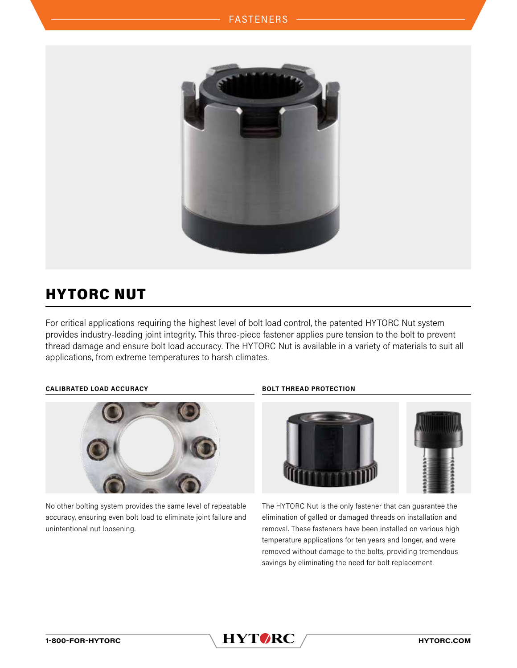

# HYTORC NUT

For critical applications requiring the highest level of bolt load control, the patented HYTORC Nut system provides industry-leading joint integrity. This three-piece fastener applies pure tension to the bolt to prevent thread damage and ensure bolt load accuracy. The HYTORC Nut is available in a variety of materials to suit all applications, from extreme temperatures to harsh climates.

# **CALIBRATED LOAD ACCURACY BOLT THREAD PROTECTION**



No other bolting system provides the same level of repeatable accuracy, ensuring even bolt load to eliminate joint failure and unintentional nut loosening.



The HYTORC Nut is the only fastener that can guarantee the elimination of galled or damaged threads on installation and removal. These fasteners have been installed on various high temperature applications for ten years and longer, and were removed without damage to the bolts, providing tremendous savings by eliminating the need for bolt replacement.